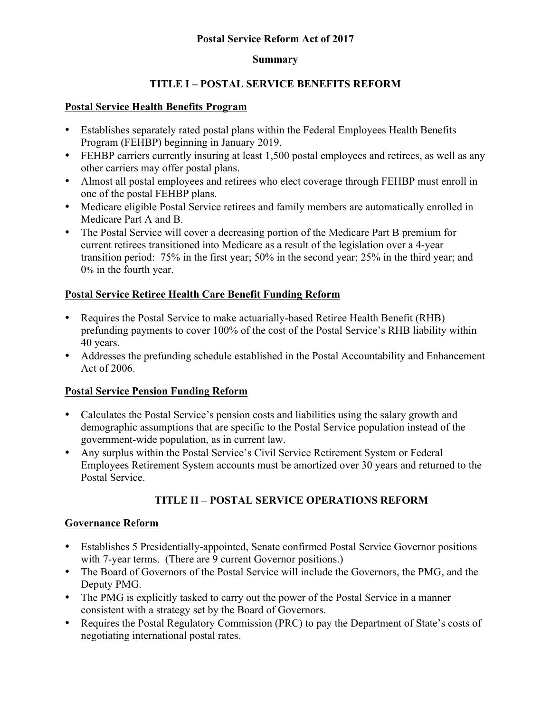## **Postal Service Reform Act of 2017**

#### **Summary**

# **TITLE I – POSTAL SERVICE BENEFITS REFORM**

#### **Postal Service Health Benefits Program**

- Establishes separately rated postal plans within the Federal Employees Health Benefits Program (FEHBP) beginning in January 2019.
- FEHBP carriers currently insuring at least 1,500 postal employees and retirees, as well as any other carriers may offer postal plans.
- Almost all postal employees and retirees who elect coverage through FEHBP must enroll in one of the postal FEHBP plans.
- Medicare eligible Postal Service retirees and family members are automatically enrolled in Medicare Part A and B.
- The Postal Service will cover a decreasing portion of the Medicare Part B premium for current retirees transitioned into Medicare as a result of the legislation over a 4-year transition period: 75% in the first year; 50% in the second year; 25% in the third year; and 0% in the fourth year.

## **Postal Service Retiree Health Care Benefit Funding Reform**

- Requires the Postal Service to make actuarially-based Retiree Health Benefit (RHB) prefunding payments to cover 100% of the cost of the Postal Service's RHB liability within 40 years.
- Addresses the prefunding schedule established in the Postal Accountability and Enhancement Act of 2006.

## **Postal Service Pension Funding Reform**

- Calculates the Postal Service's pension costs and liabilities using the salary growth and demographic assumptions that are specific to the Postal Service population instead of the government-wide population, as in current law.
- Any surplus within the Postal Service's Civil Service Retirement System or Federal Employees Retirement System accounts must be amortized over 30 years and returned to the Postal Service.

# **TITLE II – POSTAL SERVICE OPERATIONS REFORM**

## **Governance Reform**

- Establishes 5 Presidentially-appointed, Senate confirmed Postal Service Governor positions with 7-year terms. (There are 9 current Governor positions.)
- The Board of Governors of the Postal Service will include the Governors, the PMG, and the Deputy PMG.
- The PMG is explicitly tasked to carry out the power of the Postal Service in a manner consistent with a strategy set by the Board of Governors.
- Requires the Postal Regulatory Commission (PRC) to pay the Department of State's costs of negotiating international postal rates.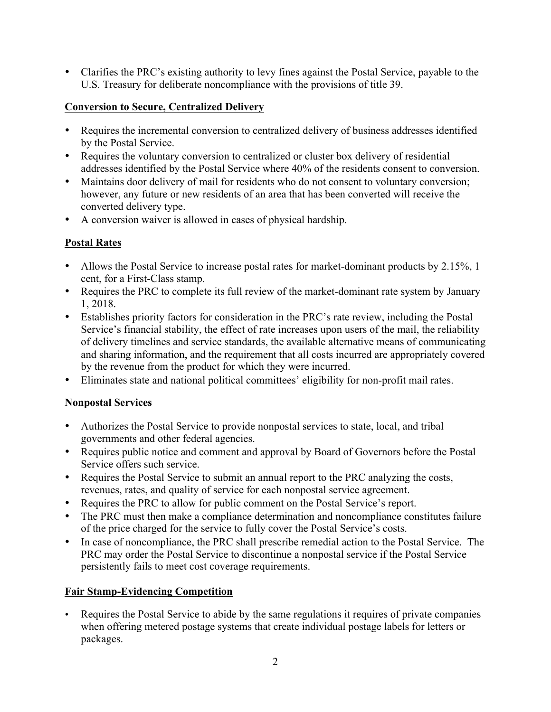• Clarifies the PRC's existing authority to levy fines against the Postal Service, payable to the U.S. Treasury for deliberate noncompliance with the provisions of title 39.

# **Conversion to Secure, Centralized Delivery**

- Requires the incremental conversion to centralized delivery of business addresses identified by the Postal Service.
- Requires the voluntary conversion to centralized or cluster box delivery of residential addresses identified by the Postal Service where 40% of the residents consent to conversion.
- Maintains door delivery of mail for residents who do not consent to voluntary conversion; however, any future or new residents of an area that has been converted will receive the converted delivery type.
- A conversion waiver is allowed in cases of physical hardship.

# **Postal Rates**

- Allows the Postal Service to increase postal rates for market-dominant products by 2.15%, 1 cent, for a First-Class stamp.
- Requires the PRC to complete its full review of the market-dominant rate system by January 1, 2018.
- Establishes priority factors for consideration in the PRC's rate review, including the Postal Service's financial stability, the effect of rate increases upon users of the mail, the reliability of delivery timelines and service standards, the available alternative means of communicating and sharing information, and the requirement that all costs incurred are appropriately covered by the revenue from the product for which they were incurred.
- Eliminates state and national political committees' eligibility for non-profit mail rates.

# **Nonpostal Services**

- Authorizes the Postal Service to provide nonpostal services to state, local, and tribal governments and other federal agencies.
- Requires public notice and comment and approval by Board of Governors before the Postal Service offers such service.
- Requires the Postal Service to submit an annual report to the PRC analyzing the costs, revenues, rates, and quality of service for each nonpostal service agreement.
- Requires the PRC to allow for public comment on the Postal Service's report.
- The PRC must then make a compliance determination and noncompliance constitutes failure of the price charged for the service to fully cover the Postal Service's costs.
- In case of noncompliance, the PRC shall prescribe remedial action to the Postal Service. The PRC may order the Postal Service to discontinue a nonpostal service if the Postal Service persistently fails to meet cost coverage requirements.

# **Fair Stamp-Evidencing Competition**

• Requires the Postal Service to abide by the same regulations it requires of private companies when offering metered postage systems that create individual postage labels for letters or packages.